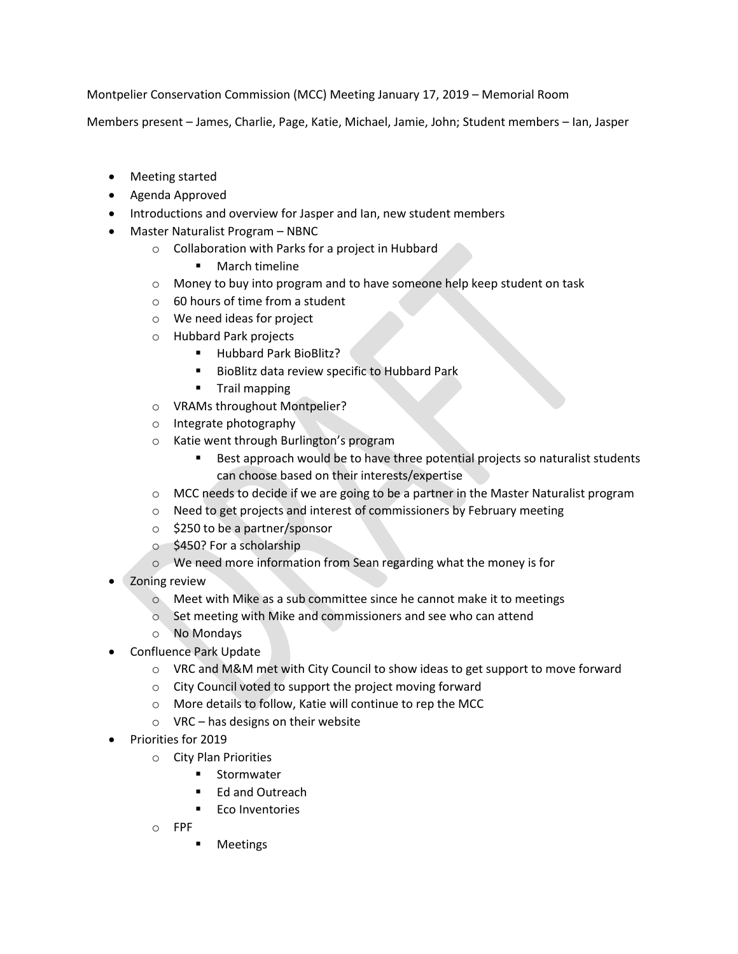Montpelier Conservation Commission (MCC) Meeting January 17, 2019 – Memorial Room

Members present – James, Charlie, Page, Katie, Michael, Jamie, John; Student members – Ian, Jasper

- Meeting started
- Agenda Approved
- Introductions and overview for Jasper and Ian, new student members
- Master Naturalist Program NBNC
	- o Collaboration with Parks for a project in Hubbard
		- **March timeline**
	- o Money to buy into program and to have someone help keep student on task
	- $\circ$  60 hours of time from a student
	- o We need ideas for project
	- o Hubbard Park projects
		- **Hubbard Park BioBlitz?**
		- **BioBlitz data review specific to Hubbard Park**
		- **Trail mapping**
	- o VRAMs throughout Montpelier?
	- o Integrate photography
	- o Katie went through Burlington's program
		- Best approach would be to have three potential projects so naturalist students can choose based on their interests/expertise
	- o MCC needs to decide if we are going to be a partner in the Master Naturalist program
	- o Need to get projects and interest of commissioners by February meeting
	- o \$250 to be a partner/sponsor
	- o \$450? For a scholarship
	- o We need more information from Sean regarding what the money is for
- Zoning review
	- o Meet with Mike as a sub committee since he cannot make it to meetings
	- o Set meeting with Mike and commissioners and see who can attend
	- o No Mondays
- Confluence Park Update
	- o VRC and M&M met with City Council to show ideas to get support to move forward
	- o City Council voted to support the project moving forward
	- o More details to follow, Katie will continue to rep the MCC
	- o VRC has designs on their website
- Priorities for 2019
	- o City Plan Priorities
		- **Stormwater**
		- Ed and Outreach
		- **Eco Inventories**
	- o FPF
		- Meetings